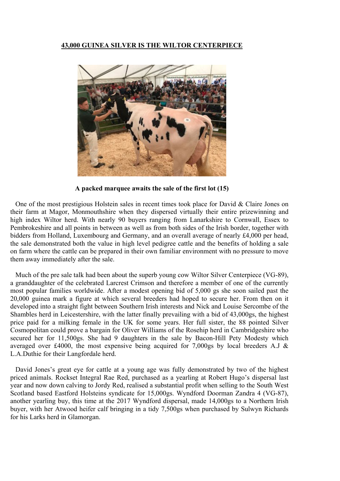## **43,000 GUINEA SILVER IS THE WILTOR CENTERPIECE**



**A packed marquee awaits the sale of the first lot (15)** 

One of the most prestigious Holstein sales in recent times took place for David & Claire Jones on their farm at Magor, Monmouthshire when they dispersed virtually their entire prizewinning and high index Wiltor herd. With nearly 90 buyers ranging from Lanarkshire to Cornwall, Essex to Pembrokeshire and all points in between as well as from both sides of the Irish border, together with bidders from Holland, Luxembourg and Germany, and an overall average of nearly £4,000 per head, the sale demonstrated both the value in high level pedigree cattle and the benefits of holding a sale on farm where the cattle can be prepared in their own familiar environment with no pressure to move them away immediately after the sale.

Much of the pre sale talk had been about the superb young cow Wiltor Silver Centerpiece (VG-89), a granddaughter of the celebrated Larcrest Crimson and therefore a member of one of the currently most popular families worldwide. After a modest opening bid of 5,000 gs she soon sailed past the 20,000 guinea mark a figure at which several breeders had hoped to secure her. From then on it developed into a straight fight between Southern Irish interests and Nick and Louise Sercombe of the Shambles herd in Leicestershire, with the latter finally prevailing with a bid of 43,000gs, the highest price paid for a milking female in the UK for some years. Her full sister, the 88 pointed Silver Cosmopolitan could prove a bargain for Oliver Williams of the Rosehip herd in Cambridgeshire who secured her for 11,500gs. She had 9 daughters in the sale by Bacon-Hill Pety Modesty which averaged over £4000, the most expensive being acquired for 7,000gs by local breeders A.J & L.A.Duthie for their Langfordale herd.

David Jones's great eye for cattle at a young age was fully demonstrated by two of the highest priced animals. Rockset Integral Rae Red, purchased as a yearling at Robert Hugo's dispersal last year and now down calving to Jordy Red, realised a substantial profit when selling to the South West Scotland based Eastford Holsteins syndicate for 15,000gs. Wyndford Doorman Zandra 4 (VG-87), another yearling buy, this time at the 2017 Wyndford dispersal, made 14,000gs to a Northern Irish buyer, with her Atwood heifer calf bringing in a tidy 7,500gs when purchased by Sulwyn Richards for his Larks herd in Glamorgan.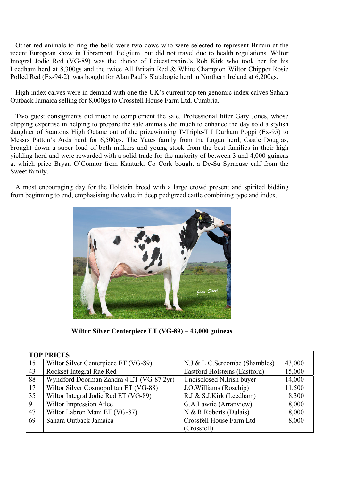Other red animals to ring the bells were two cows who were selected to represent Britain at the recent European show in Libramont, Belgium, but did not travel due to health regulations. Wiltor Integral Jodie Red (VG-89) was the choice of Leicestershire's Rob Kirk who took her for his Leedham herd at 8,300gs and the twice All Britain Red & White Champion Wiltor Chipper Rosie Polled Red (Ex-94-2), was bought for Alan Paul's Slatabogie herd in Northern Ireland at 6,200gs.

High index calves were in demand with one the UK's current top ten genomic index calves Sahara Outback Jamaica selling for 8,000gs to Crossfell House Farm Ltd, Cumbria.

Two guest consigments did much to complement the sale. Professional fitter Gary Jones, whose clipping expertise in helping to prepare the sale animals did much to enhance the day sold a stylish daughter of Stantons High Octane out of the prizewinning T-Triple-T I Durham Poppi (Ex-95) to Messrs Patton's Ards herd for 6,500gs. The Yates family from the Logan herd, Castle Douglas, brought down a super load of both milkers and young stock from the best families in their high yielding herd and were rewarded with a solid trade for the majority of between 3 and 4,000 guineas at which price Bryan O'Connor from Kanturk, Co Cork bought a De-Su Syracuse calf from the Sweet family.

A most encouraging day for the Holstein breed with a large crowd present and spirited bidding from beginning to end, emphasising the value in deep pedigreed cattle combining type and index.



**Wiltor Silver Centerpiece ET (VG-89) – 43,000 guineas** 

|    | <b>TOP PRICES</b>                        |  |                                      |        |
|----|------------------------------------------|--|--------------------------------------|--------|
| 15 | Wiltor Silver Centerpiece ET (VG-89)     |  | N.J & L.C.Sercombe (Shambles)        | 43,000 |
| 43 | Rockset Integral Rae Red                 |  | <b>Eastford Holsteins (Eastford)</b> | 15,000 |
| 88 | Wyndford Doorman Zandra 4 ET (VG-87 2yr) |  | Undisclosed N.Irish buyer            | 14,000 |
| 17 | Wiltor Silver Cosmopolitan ET (VG-88)    |  | J.O. Williams (Rosehip)              | 11,500 |
| 35 | Wiltor Integral Jodie Red ET (VG-89)     |  | R.J & S.J.Kirk (Leedham)             | 8,300  |
| 9  | Wiltor Impression Atlee                  |  | G.A.Lawrie (Arranview)               | 8,000  |
| 47 | Wiltor Labron Mani ET (VG-87)            |  | N & R.Roberts (Dulais)               | 8,000  |
| 69 | Sahara Outback Jamaica                   |  | Crossfell House Farm Ltd             | 8,000  |
|    |                                          |  | (Crossfell)                          |        |